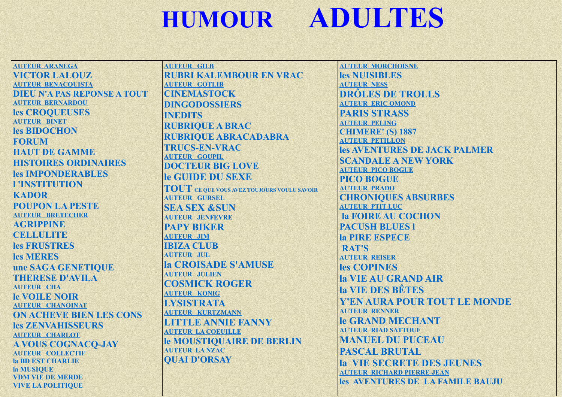## **ADULTES HUMOUR**

**AUTEUR ARANEGA** VICTOR LALOUZ **AUTEUR BENACOUISTA DIEI N'A PAS REPONSE A TOUT AUTEUR BERNARDOU** les CROOUEUSES **AUTEUR BINET** les BIDOCHON **FORUM HAUT DE GAMME HISTOIRES ORDINAIRES les IMPONDERABLES TINSTITUTION KADOR POUPON LA PESTE AUTEUR BRETECHER AGRIPPINE CELLIILITE** les FRUSTRES les MERES une SAGA GENETIQUE **THERESE D'AVILA AUTEUR CHA Ie VOILE NOIR AUTEUR CHANOINAT ON ACHEVE BIEN LES CONS** les ZENVAHISSEURS **AUTEUR CHARLOT A VOUS COGNACO-JAY AUTEUR COLLECTIF** la BD EST CHARLIE la MUSIQUE **VDM VIE DE MERDE VIVE LA POLITIOUE** 

**AUTEUR GILB RUBRI KALEMBOUR EN VRAC AUTEUR GOTLIB CINEMASTOCK DINGODOSSIERS INEDITS RUBRIOUE A BRAC RUBRIQUE ABRACADABRA TRUCS-EN-VRAC AUTEUR GOUPIL DOCTEUR BIG LOVE** le GUIDE DU SEXE **TOUT** CE QUE VOUS AVEZ TOUJOURS VOULU SAVOIR **AUTEUR GURSEL SEA SEX &SUN AUTEUR JENFEVRE PAPY RIKER AUTEUR JIM IBIZA CLUB AUTEUR JUL la CROISADE S'AMUSE AUTEUR JULIEN COSMICK ROGER AUTEUR KONIG LYSISTRATA AUTEUR KURTZMANN LITTLE ANNIE FANNY AUTEUR LA COEUILLE** le MOUSTIQUAIRE DE BERLIN **AUTEUR LANZAC OUAI D'ORSAY** 

**AUTEUR MORCHOISNE** les NUISIBLES **AUTEUR NESS DRÔLES DE TROLLS AUTEUR ERIC OMOND PARIS STRASS AUTEUR PELING CHIMERE' (S) 1887 AUTEUR PETILLON les AVENTURES DE JACK PALMER SCANDALE A NEW YORK AUTEUR PICO BOGUE PICO BOGUE AUTEUR PRADO CHRONIOUES ABSURBES AUTEUR PTIT LUC la FOIRE AU COCHON PACUSH BLUES I** la PIRE ESPECE **RAT'S AUTEUR REISER** les COPINES **la VIE AU GRAND AIR** la VIE DES BÊTES **Y'EN AURA POUR TOUT LE MONDE AUTEUR RENNER Ie GRAND MECHANT AUTEUR RIAD SATTOUF MANUEL DU PUCEAU PASCAL BRUTAL** la VIE SECRETE DES JEUNES **AUTEUR RICHARD PIERRE-JEAN** les AVENTURES DE LA FAMILE BAUJU